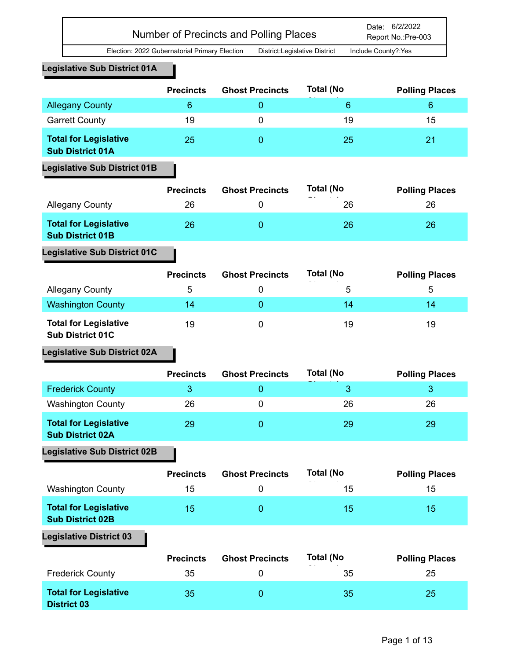## **Legislative Sub District 01A**

|                                                         | <b>Precincts</b> | <b>Ghost Precincts</b> | <b>Total (No</b> | <b>Polling Places</b> |
|---------------------------------------------------------|------------------|------------------------|------------------|-----------------------|
| <b>Allegany County</b>                                  | 6                |                        | 6                | 6                     |
| <b>Garrett County</b>                                   | 19               | 0                      | 19               | 15                    |
| <b>Total for Legislative</b><br><b>Sub District 01A</b> | 25               |                        | 25               | 21                    |

## **Legislative Sub District 01B**

|                                                         | <b>Precincts</b> | <b>Ghost Precincts</b> | <b>Total (No</b> | <b>Polling Places</b> |
|---------------------------------------------------------|------------------|------------------------|------------------|-----------------------|
| <b>Allegany County</b>                                  | 26               |                        | 26               | 26                    |
| <b>Total for Legislative</b><br><b>Sub District 01B</b> | 26               |                        | 26               | 26                    |
| <b>Legislative Sub District 01C</b>                     |                  |                        |                  |                       |

|                                                         | <b>Precincts</b> | <b>Ghost Precincts</b> | <b>Total (No</b> | <b>Polling Places</b> |
|---------------------------------------------------------|------------------|------------------------|------------------|-----------------------|
| <b>Allegany County</b>                                  | b                |                        | 5                | b                     |
| <b>Washington County</b>                                | 14               |                        | 14               | 14                    |
| <b>Total for Legislative</b><br><b>Sub District 01C</b> | 19               |                        | 19               | 19                    |

# **Legislative Sub District 02A**

|                                                         | <b>Precincts</b> | <b>Ghost Precincts</b> | <b>Total (No</b> | <b>Polling Places</b> |
|---------------------------------------------------------|------------------|------------------------|------------------|-----------------------|
| <b>Frederick County</b>                                 |                  |                        |                  |                       |
| <b>Washington County</b>                                | 26               |                        | 26               | 26                    |
| <b>Total for Legislative</b><br><b>Sub District 02A</b> | 29               |                        | 29               | 29                    |

## **Legislative Sub District 02B**

|                                                         | <b>Precincts</b> | <b>Ghost Precincts</b> | <b>Total (No</b><br>- - | <b>Polling Places</b> |
|---------------------------------------------------------|------------------|------------------------|-------------------------|-----------------------|
| <b>Washington County</b>                                | 15               |                        | 15                      | 15                    |
| <b>Total for Legislative</b><br><b>Sub District 02B</b> | 15               |                        | 15                      | 15                    |

|                                                    | <b>Precincts</b> | <b>Ghost Precincts</b> | <b>Total (No</b> | <b>Polling Places</b> |
|----------------------------------------------------|------------------|------------------------|------------------|-----------------------|
| <b>Frederick County</b>                            | 35               |                        | 35               | 25                    |
| <b>Total for Legislative</b><br><b>District 03</b> | 35               |                        | 35               | 25                    |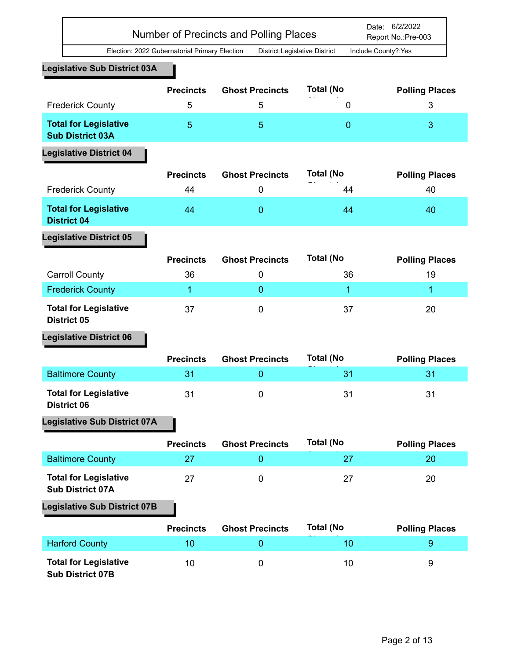|                                                         |                                               | <b>Number of Precincts and Polling Places</b> |                  | Date: 6/2/2022<br>Report No.: Pre-003 |
|---------------------------------------------------------|-----------------------------------------------|-----------------------------------------------|------------------|---------------------------------------|
|                                                         | Election: 2022 Gubernatorial Primary Election | District:Legislative District                 |                  | Include County?:Yes                   |
| <b>Legislative Sub District 03A</b>                     |                                               |                                               |                  |                                       |
|                                                         | <b>Precincts</b>                              | <b>Ghost Precincts</b>                        | <b>Total (No</b> | <b>Polling Places</b>                 |
| <b>Frederick County</b>                                 | 5                                             | 5                                             | 0                | 3                                     |
| <b>Total for Legislative</b><br><b>Sub District 03A</b> | 5                                             | 5                                             | $\overline{0}$   | 3                                     |
| <b>Legislative District 04</b>                          |                                               |                                               |                  |                                       |
|                                                         | <b>Precincts</b>                              | <b>Ghost Precincts</b>                        | <b>Total (No</b> | <b>Polling Places</b>                 |
| <b>Frederick County</b>                                 | 44                                            | 0                                             | 44               | 40                                    |
| <b>Total for Legislative</b><br><b>District 04</b>      | 44                                            | $\overline{0}$                                | 44               | 40                                    |
| <b>Legislative District 05</b>                          |                                               |                                               |                  |                                       |
|                                                         | <b>Precincts</b>                              | <b>Ghost Precincts</b>                        | <b>Total (No</b> | <b>Polling Places</b>                 |
| <b>Carroll County</b>                                   | 36                                            | 0                                             | 36               | 19                                    |
| <b>Frederick County</b>                                 | 1                                             | $\overline{0}$                                | 1                | 1                                     |
| <b>Total for Legislative</b><br><b>District 05</b>      | 37                                            | $\mathbf 0$                                   | 37               | 20                                    |
| <b>Legislative District 06</b>                          |                                               |                                               |                  |                                       |
|                                                         | <b>Precincts</b>                              | <b>Ghost Precincts</b>                        | <b>Total (No</b> | <b>Polling Places</b>                 |
| <b>Baltimore County</b>                                 | 31                                            | 0                                             | 31               | 31                                    |
| <b>Total for Legislative</b><br><b>District 06</b>      | 31                                            | $\mathbf 0$                                   | 31               | 31                                    |
| <b>Legislative Sub District 07A</b>                     |                                               |                                               |                  |                                       |
|                                                         | <b>Precincts</b>                              | <b>Ghost Precincts</b>                        | <b>Total (No</b> | <b>Polling Places</b>                 |
| <b>Baltimore County</b>                                 | 27                                            | $\mathbf 0$                                   | 27               | 20                                    |
| <b>Total for Legislative</b><br><b>Sub District 07A</b> | 27                                            | $\boldsymbol{0}$                              | 27               | 20                                    |
| <b>Legislative Sub District 07B</b>                     |                                               |                                               |                  |                                       |
|                                                         | <b>Precincts</b>                              | <b>Ghost Precincts</b>                        | <b>Total (No</b> | <b>Polling Places</b>                 |
| <b>Harford County</b>                                   | 10                                            | $\overline{0}$                                | 10               | $9\,$                                 |
| <b>Total for Legislative</b><br><b>Sub District 07B</b> | 10                                            | $\boldsymbol{0}$                              | 10               | 9                                     |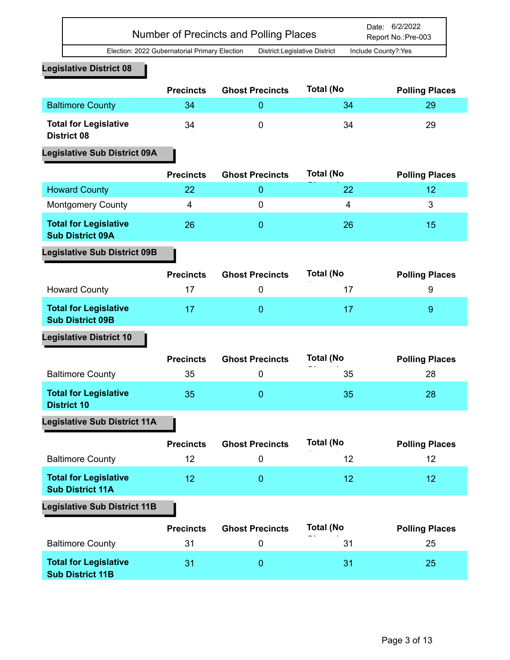|                                                         | <b>Precincts</b> | <b>Ghost Precincts</b> | <b>Total (No</b> | <b>Polling Places</b> |
|---------------------------------------------------------|------------------|------------------------|------------------|-----------------------|
| <b>Baltimore County</b>                                 | 34               | $\mathbf 0$            | 34               | 29                    |
| <b>Total for Legislative</b><br><b>District 08</b>      | 34               | $\mathbf 0$            | 34               | 29                    |
| <b>Legislative Sub District 09A</b>                     |                  |                        |                  |                       |
|                                                         | <b>Precincts</b> | <b>Ghost Precincts</b> | <b>Total (No</b> | <b>Polling Places</b> |
| <b>Howard County</b>                                    | 22               | $\mathbf{0}$           | 22               | 12                    |
| <b>Montgomery County</b>                                | 4                | $\mathbf 0$            | 4                | 3                     |
| <b>Total for Legislative</b><br><b>Sub District 09A</b> | 26               | $\mathbf 0$            | 26               | 15                    |
| <b>Legislative Sub District 09B</b>                     |                  |                        |                  |                       |
|                                                         | <b>Precincts</b> | <b>Ghost Precincts</b> | <b>Total (No</b> | <b>Polling Places</b> |
| <b>Howard County</b>                                    | 17               | $\mathbf 0$            | 17               | 9                     |
| <b>Total for Legislative</b><br><b>Sub District 09B</b> | 17               | $\mathbf{0}$           | 17               | $\overline{9}$        |
| <b>Legislative District 10</b>                          |                  |                        |                  |                       |
|                                                         | <b>Precincts</b> | <b>Ghost Precincts</b> | <b>Total (No</b> | <b>Polling Places</b> |
| <b>Baltimore County</b>                                 | 35               | $\mathbf 0$            | 35               | 28                    |
| <b>Total for Legislative</b><br><b>District 10</b>      | 35               | $\overline{0}$         | 35               | 28                    |
| <b>Legislative Sub District 11A</b>                     |                  |                        |                  |                       |
|                                                         | <b>Precincts</b> | <b>Ghost Precincts</b> | <b>Total (No</b> | <b>Polling Places</b> |
| <b>Baltimore County</b>                                 | 12               | $\mathbf 0$            | 12               | 12                    |
| <b>Total for Legislative</b><br><b>Sub District 11A</b> | 12               | $\mathbf 0$            | 12               | 12                    |
| <b>Legislative Sub District 11B</b>                     |                  |                        |                  |                       |
|                                                         | <b>Precincts</b> | <b>Ghost Precincts</b> | <b>Total (No</b> | <b>Polling Places</b> |
| <b>Baltimore County</b>                                 | 31               | $\mathbf 0$            | 31               | 25                    |
| <b>Total for Legislative</b><br><b>Sub District 11B</b> | 31               | $\mathbf{0}$           | 31               | 25                    |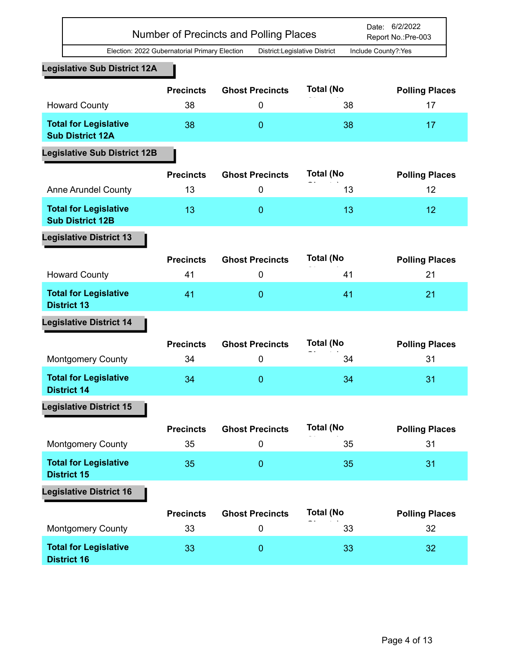|                                                         | Number of Precincts and Polling Places        |                               |                        | Date: 6/2/2022<br>Report No.: Pre-003 |
|---------------------------------------------------------|-----------------------------------------------|-------------------------------|------------------------|---------------------------------------|
|                                                         | Election: 2022 Gubernatorial Primary Election | District:Legislative District |                        | Include County?:Yes                   |
| <b>Legislative Sub District 12A</b>                     |                                               |                               |                        |                                       |
|                                                         | <b>Precincts</b>                              | <b>Ghost Precincts</b>        | <b>Total (No</b>       | <b>Polling Places</b>                 |
| <b>Howard County</b>                                    | 38                                            | 0                             | 38                     | 17                                    |
| <b>Total for Legislative</b><br><b>Sub District 12A</b> | 38                                            | $\mathbf{0}$                  | 38                     | 17                                    |
| <b>Legislative Sub District 12B</b>                     |                                               |                               |                        |                                       |
|                                                         | <b>Precincts</b>                              | <b>Ghost Precincts</b>        | <b>Total (No</b>       | <b>Polling Places</b>                 |
| <b>Anne Arundel County</b>                              | 13                                            | $\mathbf 0$                   | 13                     | 12                                    |
| <b>Total for Legislative</b><br><b>Sub District 12B</b> | 13                                            | $\mathbf{0}$                  | 13                     | 12                                    |
| <b>Legislative District 13</b>                          |                                               |                               |                        |                                       |
|                                                         | <b>Precincts</b>                              | <b>Ghost Precincts</b>        | <b>Total (No</b>       | <b>Polling Places</b>                 |
| <b>Howard County</b>                                    | 41                                            | $\mathbf 0$                   | 41                     | 21                                    |
| <b>Total for Legislative</b><br><b>District 13</b>      | 41                                            | $\mathbf{0}$                  | 41                     | 21                                    |
| <b>Legislative District 14</b>                          |                                               |                               |                        |                                       |
|                                                         | <b>Precincts</b>                              | <b>Ghost Precincts</b>        | <b>Total (No</b>       | <b>Polling Places</b>                 |
| <b>Montgomery County</b>                                | 34                                            | $\mathbf 0$                   | 34                     | 31                                    |
| <b>Total for Legislative</b><br><b>District 14</b>      | 34                                            | $\mathbf{0}$                  | 34                     | 31                                    |
| <b>Legislative District 15</b>                          |                                               |                               |                        |                                       |
| <b>Montgomery County</b>                                | <b>Precincts</b><br>35                        | <b>Ghost Precincts</b><br>0   | <b>Total (No</b><br>35 | <b>Polling Places</b><br>31           |
| <b>Total for Legislative</b><br><b>District 15</b>      | 35                                            | $\overline{0}$                | 35                     | 31                                    |
| <b>Legislative District 16</b>                          |                                               |                               |                        |                                       |
|                                                         | <b>Precincts</b>                              | <b>Ghost Precincts</b>        | <b>Total (No</b>       | <b>Polling Places</b>                 |
| <b>Montgomery County</b>                                | 33                                            | $\pmb{0}$                     | 33                     | 32                                    |
| <b>Total for Legislative</b><br><b>District 16</b>      | 33                                            | $\mathbf{0}$                  | 33                     | 32                                    |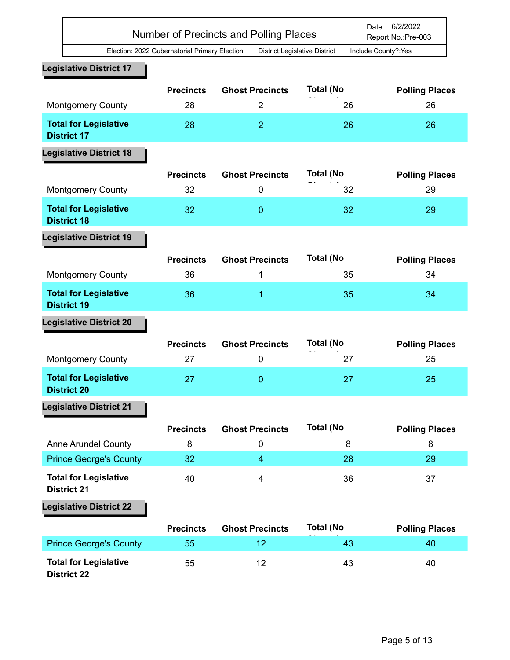|                                                    |                                               | Number of Precincts and Polling Places |                  | Date: 6/2/2022<br>Report No.: Pre-003 |
|----------------------------------------------------|-----------------------------------------------|----------------------------------------|------------------|---------------------------------------|
|                                                    | Election: 2022 Gubernatorial Primary Election | District:Legislative District          |                  | Include County?:Yes                   |
| <b>Legislative District 17</b>                     |                                               |                                        |                  |                                       |
|                                                    | <b>Precincts</b>                              | <b>Ghost Precincts</b>                 | <b>Total (No</b> | <b>Polling Places</b>                 |
| <b>Montgomery County</b>                           | 28                                            | $\overline{2}$                         | 26               | 26                                    |
| <b>Total for Legislative</b><br><b>District 17</b> | 28                                            | $\overline{2}$                         | 26               | 26                                    |
| <b>Legislative District 18</b>                     |                                               |                                        |                  |                                       |
|                                                    | <b>Precincts</b>                              | <b>Ghost Precincts</b>                 | <b>Total (No</b> | <b>Polling Places</b>                 |
| <b>Montgomery County</b>                           | 32                                            | $\boldsymbol{0}$                       | 32               | 29                                    |
| <b>Total for Legislative</b><br><b>District 18</b> | 32                                            | $\mathbf{0}$                           | 32               | 29                                    |
| <b>Legislative District 19</b>                     |                                               |                                        |                  |                                       |
|                                                    |                                               |                                        | <b>Total (No</b> |                                       |
| <b>Montgomery County</b>                           | <b>Precincts</b><br>36                        | <b>Ghost Precincts</b><br>1            | 35               | <b>Polling Places</b><br>34           |
|                                                    |                                               |                                        |                  |                                       |
| <b>Total for Legislative</b><br><b>District 19</b> | 36                                            | 1                                      | 35               | 34                                    |
| <b>Legislative District 20</b>                     |                                               |                                        |                  |                                       |
|                                                    | <b>Precincts</b>                              | <b>Ghost Precincts</b>                 | <b>Total (No</b> | <b>Polling Places</b>                 |
| <b>Montgomery County</b>                           | 27                                            | 0                                      | 27               | 25                                    |
| <b>Total for Legislative</b><br>District 20        | 27                                            | $\mathbf{0}$                           | 27               | 25                                    |
| <b>Legislative District 21</b>                     |                                               |                                        |                  |                                       |
|                                                    | <b>Precincts</b>                              | <b>Ghost Precincts</b>                 | <b>Total (No</b> |                                       |
| <b>Anne Arundel County</b>                         | 8                                             | $\pmb{0}$                              | 8                | <b>Polling Places</b><br>8            |
| <b>Prince George's County</b>                      | 32                                            | $\overline{4}$                         | 28               | 29                                    |
| <b>Total for Legislative</b><br><b>District 21</b> | 40                                            | 4                                      | 36               | 37                                    |
| <b>Legislative District 22</b>                     |                                               |                                        |                  |                                       |
|                                                    | <b>Precincts</b>                              | <b>Ghost Precincts</b>                 | <b>Total (No</b> |                                       |
| <b>Prince George's County</b>                      | 55                                            | 12                                     | 43               | <b>Polling Places</b><br>40           |
|                                                    |                                               |                                        |                  |                                       |
| <b>Total for Legislative</b><br><b>District 22</b> | 55                                            | 12                                     | 43               | 40                                    |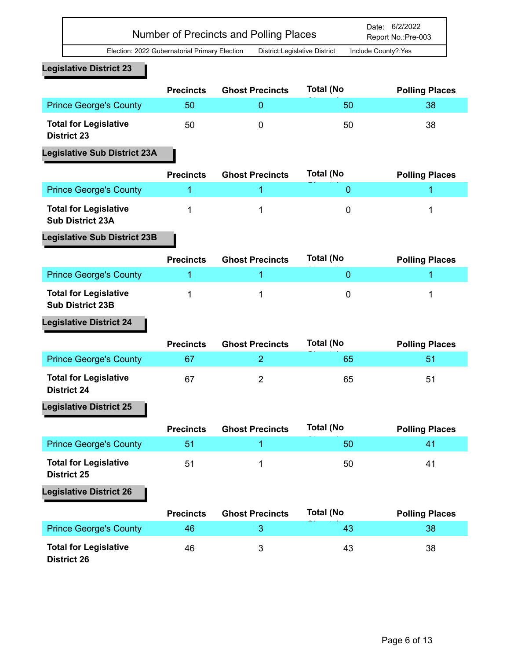Date: 6/2/2022 Number of Precincts and Polling Places Report No.:Pre-003

Election: 2022 Gubernatorial Primary Election District:Legislative District Include County?:Yes

## **Legislative District 23**

|                                                    | <b>Precincts</b> | <b>Ghost Precincts</b> | <b>Total (No</b> | <b>Polling Places</b> |
|----------------------------------------------------|------------------|------------------------|------------------|-----------------------|
| <b>Prince George's County</b>                      | 50               |                        | 50               | 38                    |
| <b>Total for Legislative</b><br><b>District 23</b> | 50               |                        | 50               | 38                    |

## **Legislative Sub District 23A**

|                                                         | <b>Precincts</b> | <b>Ghost Precincts</b> | <b>Total (No</b> | <b>Polling Places</b> |
|---------------------------------------------------------|------------------|------------------------|------------------|-----------------------|
| <b>Prince George's County</b>                           |                  |                        |                  |                       |
| <b>Total for Legislative</b><br><b>Sub District 23A</b> |                  |                        |                  |                       |

## **Legislative Sub District 23B**

|                                                         | <b>Precincts</b> | <b>Ghost Precincts</b> | <b>Total (No</b> | <b>Polling Places</b> |
|---------------------------------------------------------|------------------|------------------------|------------------|-----------------------|
| <b>Prince George's County</b>                           |                  |                        |                  |                       |
| <b>Total for Legislative</b><br><b>Sub District 23B</b> |                  |                        |                  |                       |

# **Legislative District 24**

|                                                    | <b>Precincts</b> | <b>Ghost Precincts</b> | <b>Total (No</b> | <b>Polling Places</b> |
|----------------------------------------------------|------------------|------------------------|------------------|-----------------------|
| <b>Prince George's County</b>                      | 67               |                        | 65               | 51                    |
| <b>Total for Legislative</b><br><b>District 24</b> | 67               |                        | 65               | 51                    |

## **Legislative District 25**

|                                                    | <b>Precincts</b> | <b>Ghost Precincts</b> | <b>Total (No</b> | <b>Polling Places</b> |
|----------------------------------------------------|------------------|------------------------|------------------|-----------------------|
| <b>Prince George's County</b>                      | 51               |                        | 50               | 41                    |
| <b>Total for Legislative</b><br><b>District 25</b> | 51               |                        | 50               | 41                    |
| La alabethua, Diatolat 00                          |                  |                        |                  |                       |

|                                                    | <b>Precincts</b> | <b>Ghost Precincts</b> | <b>Total (No</b> | <b>Polling Places</b> |
|----------------------------------------------------|------------------|------------------------|------------------|-----------------------|
| <b>Prince George's County</b>                      | 46               |                        | 43               | 38                    |
| <b>Total for Legislative</b><br><b>District 26</b> | 46               |                        | 43               | 38                    |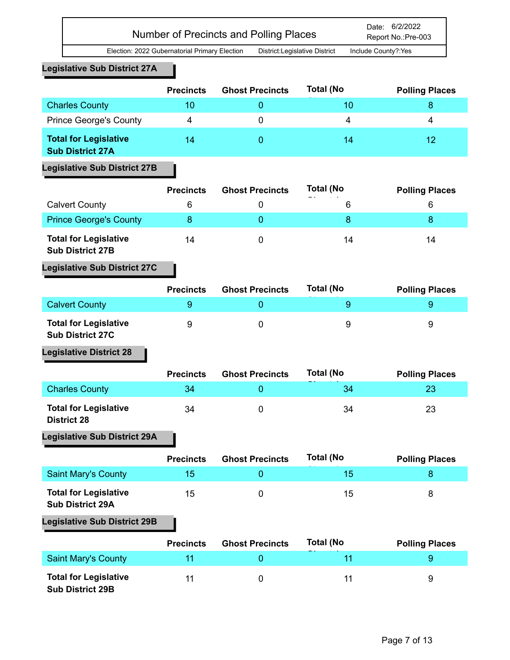**Legislative Sub District 27A**

|                                                         | <b>Precincts</b> | <b>Ghost Precincts</b> | <b>Total (No</b> | <b>Polling Places</b> |
|---------------------------------------------------------|------------------|------------------------|------------------|-----------------------|
| <b>Charles County</b>                                   | 10               |                        | 10               |                       |
| <b>Prince George's County</b>                           | 4                |                        | 4                | 4                     |
| <b>Total for Legislative</b><br><b>Sub District 27A</b> | 14               |                        | 14               | 12                    |

## **Legislative Sub District 27B**

|                                                         | <b>Precincts</b> | <b>Ghost Precincts</b> | <b>Total (No</b><br>- - | <b>Polling Places</b> |
|---------------------------------------------------------|------------------|------------------------|-------------------------|-----------------------|
| <b>Calvert County</b>                                   | 6                |                        | 6                       | 6                     |
| <b>Prince George's County</b>                           |                  |                        | 8                       |                       |
| <b>Total for Legislative</b><br><b>Sub District 27B</b> | 14               |                        | 14                      | 14                    |

## **Legislative Sub District 27C**

|                                                         | <b>Precincts</b> | <b>Ghost Precincts</b> | Total (No | <b>Polling Places</b> |
|---------------------------------------------------------|------------------|------------------------|-----------|-----------------------|
| <b>Calvert County</b>                                   |                  |                        |           |                       |
| <b>Total for Legislative</b><br><b>Sub District 27C</b> | 9                |                        | 9         | 9                     |

**Legislative District 28**

|                                                    | <b>Precincts</b> | <b>Ghost Precincts</b> | <b>Total (No</b> | <b>Polling Places</b> |
|----------------------------------------------------|------------------|------------------------|------------------|-----------------------|
| <b>Charles County</b>                              | 34               |                        | 34               |                       |
| <b>Total for Legislative</b><br><b>District 28</b> | 34               |                        | 34               | 23                    |

## **Legislative Sub District 29A**

|                                                         | <b>Precincts</b> | <b>Ghost Precincts</b> | <b>Total (No</b> | <b>Polling Places</b> |
|---------------------------------------------------------|------------------|------------------------|------------------|-----------------------|
| <b>Saint Mary's County</b>                              | 15               |                        | 15               |                       |
| <b>Total for Legislative</b><br><b>Sub District 29A</b> | 15               |                        | 15               | ŏ                     |

## **Legislative Sub District 29B**

|                                                         | <b>Precincts</b> | <b>Ghost Precincts</b> | <b>Total (No</b> | <b>Polling Places</b> |
|---------------------------------------------------------|------------------|------------------------|------------------|-----------------------|
| <b>Saint Mary's County</b>                              | 11               |                        |                  |                       |
| <b>Total for Legislative</b><br><b>Sub District 29B</b> | 11               |                        |                  | 9                     |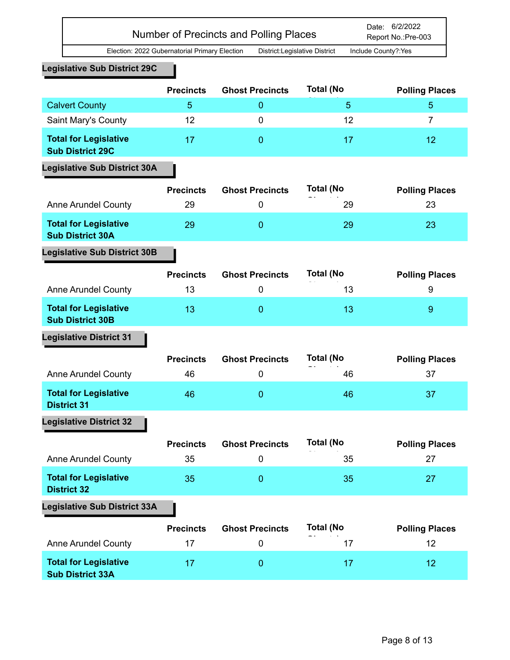|                                                         |                        | <b>Number of Precincts and Polling Places</b> |                               | Date: 6/2/2022<br>Report No.: Pre-003 |
|---------------------------------------------------------|------------------------|-----------------------------------------------|-------------------------------|---------------------------------------|
| Election: 2022 Gubernatorial Primary Election           |                        |                                               | District:Legislative District | Include County?:Yes                   |
| <b>Legislative Sub District 29C</b>                     |                        |                                               |                               |                                       |
|                                                         | <b>Precincts</b>       | <b>Ghost Precincts</b>                        | <b>Total (No</b>              | <b>Polling Places</b>                 |
| <b>Calvert County</b>                                   | 5                      | $\mathbf{0}$                                  | 5                             | 5                                     |
| Saint Mary's County                                     | 12                     | $\mathbf 0$                                   | 12                            | $\overline{7}$                        |
| <b>Total for Legislative</b><br><b>Sub District 29C</b> | 17                     | $\overline{0}$                                | 17                            | 12                                    |
| <b>Legislative Sub District 30A</b>                     |                        |                                               |                               |                                       |
|                                                         | <b>Precincts</b>       | <b>Ghost Precincts</b>                        | <b>Total (No</b>              | <b>Polling Places</b>                 |
| <b>Anne Arundel County</b>                              | 29                     | $\boldsymbol{0}$                              | 29                            | 23                                    |
| <b>Total for Legislative</b><br><b>Sub District 30A</b> | 29                     | $\mathbf{0}$                                  | 29                            | 23                                    |
| <b>Legislative Sub District 30B</b>                     |                        |                                               |                               |                                       |
|                                                         | <b>Precincts</b>       | <b>Ghost Precincts</b>                        | <b>Total (No</b>              | <b>Polling Places</b>                 |
| <b>Anne Arundel County</b>                              | 13                     | $\mathbf 0$                                   | 13                            | 9                                     |
| <b>Total for Legislative</b><br><b>Sub District 30B</b> | 13                     | $\overline{0}$                                | 13                            | 9                                     |
| <b>Legislative District 31</b>                          |                        |                                               |                               |                                       |
| <b>Anne Arundel County</b>                              | <b>Precincts</b><br>46 | <b>Ghost Precincts</b><br>0                   | <b>Total (No</b><br>46        | <b>Polling Places</b><br>37           |
| <b>Total for Legislative</b><br><b>District 31</b>      | 46                     | $\mathbf{0}$                                  | 46                            | 37                                    |
| <b>Legislative District 32</b>                          |                        |                                               |                               |                                       |
| <b>Anne Arundel County</b>                              | <b>Precincts</b><br>35 | <b>Ghost Precincts</b><br>$\pmb{0}$           | <b>Total (No</b><br>35        | <b>Polling Places</b><br>27           |
| <b>Total for Legislative</b><br><b>District 32</b>      | 35                     | $\mathbf{0}$                                  | 35                            | 27                                    |
| <b>Legislative Sub District 33A</b>                     |                        |                                               |                               |                                       |
|                                                         | <b>Precincts</b>       | <b>Ghost Precincts</b>                        | <b>Total (No</b>              |                                       |
| <b>Anne Arundel County</b>                              | 17                     | $\mathbf 0$                                   | 17                            | <b>Polling Places</b><br>12           |
| <b>Total for Legislative</b><br><b>Sub District 33A</b> | 17                     | $\mathbf{0}$                                  | 17                            | 12                                    |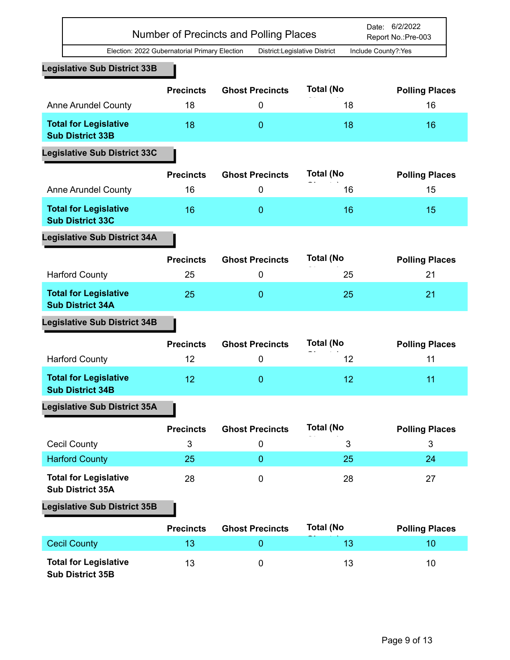|                                                         |                                               | Number of Precincts and Polling Places |                  | Date: 6/2/2022<br>Report No.:Pre-003 |
|---------------------------------------------------------|-----------------------------------------------|----------------------------------------|------------------|--------------------------------------|
|                                                         | Election: 2022 Gubernatorial Primary Election | District:Legislative District          |                  | Include County?:Yes                  |
| <b>Legislative Sub District 33B</b>                     |                                               |                                        |                  |                                      |
|                                                         | <b>Precincts</b>                              | <b>Ghost Precincts</b>                 | <b>Total (No</b> | <b>Polling Places</b>                |
| <b>Anne Arundel County</b>                              | 18                                            | 0                                      | 18               | 16                                   |
| <b>Total for Legislative</b><br><b>Sub District 33B</b> | 18                                            | 0                                      | 18               | 16                                   |
| <b>Legislative Sub District 33C</b>                     |                                               |                                        |                  |                                      |
|                                                         |                                               |                                        |                  |                                      |
|                                                         | <b>Precincts</b>                              | <b>Ghost Precincts</b>                 | <b>Total (No</b> | <b>Polling Places</b>                |
| <b>Anne Arundel County</b>                              | 16                                            | 0                                      | 16               | 15                                   |
| <b>Total for Legislative</b><br><b>Sub District 33C</b> | 16                                            | $\overline{0}$                         | 16               | 15                                   |
| <b>Legislative Sub District 34A</b>                     |                                               |                                        |                  |                                      |
|                                                         | <b>Precincts</b>                              | <b>Ghost Precincts</b>                 | <b>Total (No</b> | <b>Polling Places</b>                |
| <b>Harford County</b>                                   | 25                                            | 0                                      | 25               | 21                                   |
| <b>Total for Legislative</b><br><b>Sub District 34A</b> | 25                                            | $\overline{0}$                         | 25               | 21                                   |
| <b>Legislative Sub District 34B</b>                     |                                               |                                        |                  |                                      |
|                                                         | <b>Precincts</b>                              | <b>Ghost Precincts</b>                 | <b>Total (No</b> | <b>Polling Places</b>                |
| <b>Harford County</b>                                   | 12                                            | 0                                      | 12               | 11                                   |
| <b>Total for Legislative</b><br><b>Sub District 34B</b> | 12                                            | 0                                      | 12               | 11                                   |
| <b>Legislative Sub District 35A</b>                     |                                               |                                        |                  |                                      |
|                                                         | <b>Precincts</b>                              | <b>Ghost Precincts</b>                 | <b>Total (No</b> | <b>Polling Places</b>                |
| <b>Cecil County</b>                                     | 3                                             | 0                                      | 3                | 3                                    |
| <b>Harford County</b>                                   | 25                                            | $\overline{0}$                         | 25               | 24                                   |
| <b>Total for Legislative</b>                            | 28                                            | $\pmb{0}$                              | 28               | 27                                   |
| <b>Sub District 35A</b>                                 |                                               |                                        |                  |                                      |
| <b>Legislative Sub District 35B</b>                     |                                               |                                        |                  |                                      |
|                                                         | <b>Precincts</b>                              | <b>Ghost Precincts</b>                 | <b>Total (No</b> | <b>Polling Places</b>                |
| <b>Cecil County</b>                                     | 13                                            | 0                                      | 13               | 10                                   |
|                                                         |                                               |                                        |                  |                                      |
| <b>Total for Legislative</b><br><b>Sub District 35B</b> | 13                                            | $\mathbf 0$                            | 13               | 10                                   |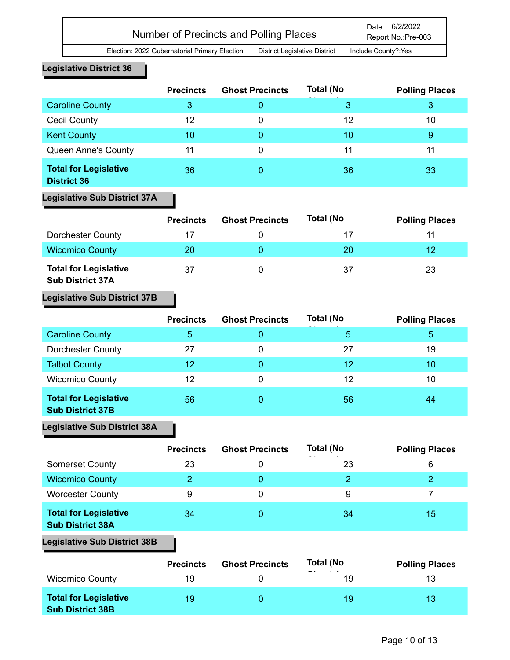Report No.:Pre-003

## **Legislative District 36**

|                                                    | <b>Precincts</b> | <b>Ghost Precincts</b> | <b>Total (No</b> | <b>Polling Places</b> |
|----------------------------------------------------|------------------|------------------------|------------------|-----------------------|
| <b>Caroline County</b>                             | 3                | O                      | 3                | 3                     |
| <b>Cecil County</b>                                | 12               | 0                      | 12               | 10                    |
| <b>Kent County</b>                                 | 10               |                        | 10               | 9                     |
| Queen Anne's County                                | 11               | 0                      | 11               | 11                    |
| <b>Total for Legislative</b><br><b>District 36</b> | 36               |                        | 36               | 33                    |

## **Legislative Sub District 37A**

|                                                         | <b>Precincts</b> | <b>Ghost Precincts</b> | <b>Total (No</b> | <b>Polling Places</b> |
|---------------------------------------------------------|------------------|------------------------|------------------|-----------------------|
| <b>Dorchester County</b>                                | 17               |                        | 17               | 11                    |
| <b>Wicomico County</b>                                  | 20               |                        | 20               | 12                    |
| <b>Total for Legislative</b><br><b>Sub District 37A</b> | 37               |                        | 37               | 23                    |

## **Legislative Sub District 37B**

|                                                         | <b>Precincts</b> | <b>Ghost Precincts</b> | <b>Total (No</b> | <b>Polling Places</b> |
|---------------------------------------------------------|------------------|------------------------|------------------|-----------------------|
| <b>Caroline County</b>                                  | 5                |                        | 5                | 5                     |
| <b>Dorchester County</b>                                | 27               | 0                      | 27               | 19                    |
| <b>Talbot County</b>                                    | 12               | 0                      | 12               | 10                    |
| <b>Wicomico County</b>                                  | 12               | 0                      | 12               | 10                    |
| <b>Total for Legislative</b><br><b>Sub District 37B</b> | 56               | O                      | 56               | 44                    |

# **Legislative Sub District 38A**

|                                                         | <b>Precincts</b> | <b>Ghost Precincts</b> | <b>Total (No</b><br>$-$ | <b>Polling Places</b> |
|---------------------------------------------------------|------------------|------------------------|-------------------------|-----------------------|
| <b>Somerset County</b>                                  | 23               | O                      | 23                      | 6                     |
| <b>Wicomico County</b>                                  |                  | 0                      | $\mathcal{P}$           |                       |
| <b>Worcester County</b>                                 | 9                | 0                      | 9                       |                       |
| <b>Total for Legislative</b><br><b>Sub District 38A</b> | 34               |                        | 34                      | 15                    |

## **Legislative Sub District 38B**

|                                                         | <b>Precincts</b> | <b>Ghost Precincts</b> | <b>Total (No</b><br>- - | <b>Polling Places</b> |
|---------------------------------------------------------|------------------|------------------------|-------------------------|-----------------------|
| <b>Wicomico County</b>                                  | 19               |                        | 19                      | 13                    |
| <b>Total for Legislative</b><br><b>Sub District 38B</b> | 19               |                        | 19                      | 13                    |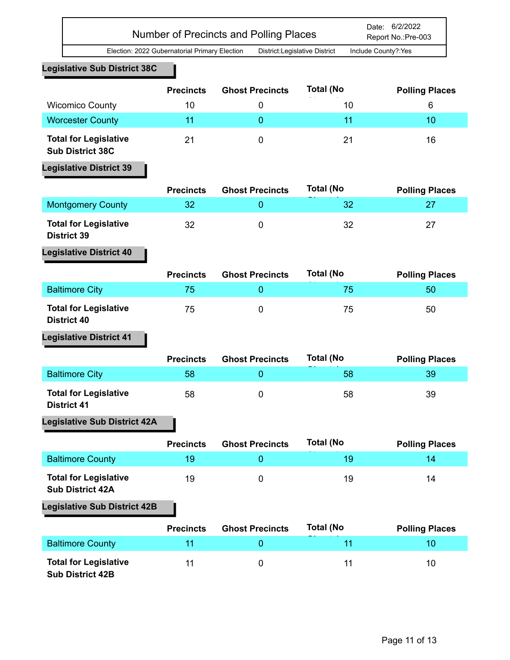| Number of Precincts and Polling Places | Date: 6/2/2022<br>Report No.:Pre-003 |
|----------------------------------------|--------------------------------------|
|                                        |                                      |

#### **Legislative Sub District 38C**

|                                                         | <b>Precincts</b> | <b>Ghost Precincts</b> | <b>Total (No</b> | <b>Polling Places</b> |
|---------------------------------------------------------|------------------|------------------------|------------------|-----------------------|
| <b>Wicomico County</b>                                  | 10               |                        | 10               | 6                     |
| <b>Worcester County</b>                                 | 11               |                        |                  | 10                    |
| <b>Total for Legislative</b><br><b>Sub District 38C</b> | 21               |                        | 21               | 16                    |

# **Legislative District 39**

|                                                    | <b>Precincts</b> | <b>Ghost Precincts</b> | Total (No | <b>Polling Places</b> |
|----------------------------------------------------|------------------|------------------------|-----------|-----------------------|
| <b>Montgomery County</b>                           | 32               |                        | 32        |                       |
| <b>Total for Legislative</b><br><b>District 39</b> | 32               |                        | 32        | 27                    |

# **Legislative District 40**

|                                                    | <b>Precincts</b> | <b>Ghost Precincts</b> | <b>Total (No</b> | <b>Polling Places</b> |
|----------------------------------------------------|------------------|------------------------|------------------|-----------------------|
| <b>Baltimore City</b>                              | 75               |                        | 75               | 50                    |
| <b>Total for Legislative</b><br><b>District 40</b> | 75               |                        | 75               | 50                    |

## **Legislative District 41**

|                                                    | <b>Precincts</b> | <b>Ghost Precincts</b> | <b>Total (No</b> | <b>Polling Places</b> |
|----------------------------------------------------|------------------|------------------------|------------------|-----------------------|
| <b>Baltimore City</b>                              | 58               |                        | 58               | 39                    |
| <b>Total for Legislative</b><br><b>District 41</b> | 58               |                        | 58               | 39                    |

## **Legislative Sub District 42A**

|                                                         | <b>Precincts</b> | <b>Ghost Precincts</b> | <b>Total (No</b> | <b>Polling Places</b> |
|---------------------------------------------------------|------------------|------------------------|------------------|-----------------------|
| <b>Baltimore County</b>                                 | 19               |                        | 19               | 14.                   |
| <b>Total for Legislative</b><br><b>Sub District 42A</b> | 19               |                        | 19               | 14                    |

## **Legislative Sub District 42B**

|                                                         | <b>Precincts</b> | <b>Ghost Precincts</b> | <b>Total (No</b> | <b>Polling Places</b> |
|---------------------------------------------------------|------------------|------------------------|------------------|-----------------------|
| <b>Baltimore County</b>                                 |                  |                        |                  | 10.                   |
| <b>Total for Legislative</b><br><b>Sub District 42B</b> |                  | O                      | 11               | 10                    |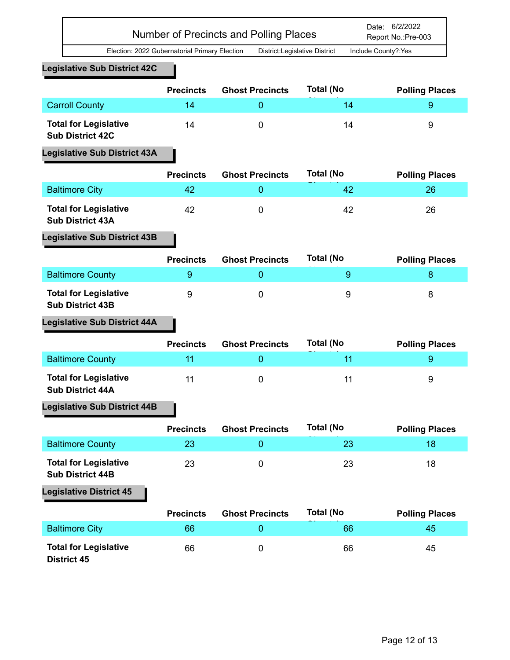### **Legislative Sub District 42C**

|                                                         | <b>Precincts</b> | <b>Ghost Precincts</b> | <b>Total (No</b> | <b>Polling Places</b> |
|---------------------------------------------------------|------------------|------------------------|------------------|-----------------------|
| <b>Carroll County</b>                                   | 14               |                        | 14               |                       |
| <b>Total for Legislative</b><br><b>Sub District 42C</b> | 14               |                        | 14               | 9                     |

### **Legislative Sub District 43A**

|                                                         | <b>Precincts</b> | <b>Ghost Precincts</b> | <b>Total (No</b> | <b>Polling Places</b> |
|---------------------------------------------------------|------------------|------------------------|------------------|-----------------------|
| <b>Baltimore City</b>                                   | 42               |                        | 42               | 26                    |
| <b>Total for Legislative</b><br><b>Sub District 43A</b> | 42               |                        | 42               | 26                    |

## **Legislative Sub District 43B**

|                                                         | <b>Precincts</b> | <b>Ghost Precincts</b> | <b>Total (No</b> | <b>Polling Places</b> |
|---------------------------------------------------------|------------------|------------------------|------------------|-----------------------|
| <b>Baltimore County</b>                                 |                  |                        |                  |                       |
| <b>Total for Legislative</b><br><b>Sub District 43B</b> |                  |                        | 9                |                       |

## **Legislative Sub District 44A**

|                                                         | <b>Precincts</b> | <b>Ghost Precincts</b> | <b>Total (No</b> | <b>Polling Places</b> |
|---------------------------------------------------------|------------------|------------------------|------------------|-----------------------|
| <b>Baltimore County</b>                                 | 11               |                        |                  |                       |
| <b>Total for Legislative</b><br><b>Sub District 44A</b> | 11               |                        |                  | 9                     |

## **Legislative Sub District 44B**

|                                                         | <b>Precincts</b> | <b>Ghost Precincts</b> | <b>Total (No</b> | <b>Polling Places</b> |
|---------------------------------------------------------|------------------|------------------------|------------------|-----------------------|
| <b>Baltimore County</b>                                 | 23               |                        | 23               | 18                    |
| <b>Total for Legislative</b><br><b>Sub District 44B</b> | 23               |                        | 23               | 18                    |

|                                                    | <b>Precincts</b> | <b>Ghost Precincts</b> | Total (No | <b>Polling Places</b> |
|----------------------------------------------------|------------------|------------------------|-----------|-----------------------|
| <b>Baltimore City</b>                              | 66               |                        | 66        | 45                    |
| <b>Total for Legislative</b><br><b>District 45</b> | 66               |                        | 66        | 45                    |